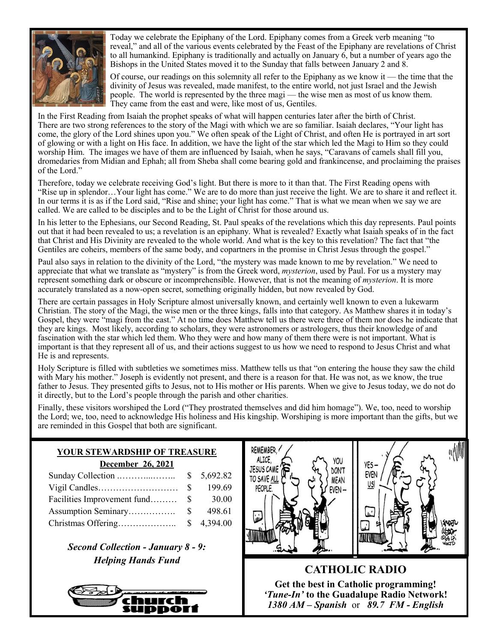

Today we celebrate the Epiphany of the Lord. Epiphany comes from a Greek verb meaning "to reveal," and all of the various events celebrated by the Feast of the Epiphany are revelations of Christ to all humankind. Epiphany is traditionally and actually on January 6, but a number of years ago the Bishops in the United States moved it to the Sunday that falls between January 2 and 8.

Of course, our readings on this solemnity all refer to the Epiphany as we know it — the time that the divinity of Jesus was revealed, made manifest, to the entire world, not just Israel and the Jewish people. The world is represented by the three magi — the wise men as most of us know them. They came from the east and were, like most of us, Gentiles.

 In the First Reading from Isaiah the prophet speaks of what will happen centuries later after the birth of Christ. There are two strong references to the story of the Magi with which we are so familiar. Isaiah declares, "Your light has come, the glory of the Lord shines upon you." We often speak of the Light of Christ, and often He is portrayed in art sort of glowing or with a light on His face. In addition, we have the light of the star which led the Magi to Him so they could worship Him. The images we have of them are influenced by Isaiah, when he says, "Caravans of camels shall fill you, dromedaries from Midian and Ephah; all from Sheba shall come bearing gold and frankincense, and proclaiming the praises of the Lord."

 Therefore, today we celebrate receiving God's light. But there is more to it than that. The First Reading opens with "Rise up in splendor…Your light has come." We are to do more than just receive the light. We are to share it and reflect it. In our terms it is as if the Lord said, "Rise and shine; your light has come." That is what we mean when we say we are called. We are called to be disciples and to be the Light of Christ for those around us.

In his letter to the Ephesians, our Second Reading, St. Paul speaks of the revelations which this day represents. Paul points out that it had been revealed to us; a revelation is an epiphany. What is revealed? Exactly what Isaiah speaks of in the fact that Christ and His Divinity are revealed to the whole world. And what is the key to this revelation? The fact that "the Gentiles are coheirs, members of the same body, and copartners in the promise in Christ Jesus through the gospel."

Paul also says in relation to the divinity of the Lord, "the mystery was made known to me by revelation." We need to appreciate that what we translate as "mystery" is from the Greek word, *mysterion*, used by Paul. For us a mystery may represent something dark or obscure or incomprehensible. However, that is not the meaning of *mysterion*. It is more accurately translated as a now-open secret, something originally hidden, but now revealed by God.

There are certain passages in Holy Scripture almost universally known, and certainly well known to even a lukewarm Christian. The story of the Magi, the wise men or the three kings, falls into that category. As Matthew shares it in today's Gospel, they were "magi from the east." At no time does Matthew tell us there were three of them nor does he indicate that they are kings. Most likely, according to scholars, they were astronomers or astrologers, thus their knowledge of and fascination with the star which led them. Who they were and how many of them there were is not important. What is important is that they represent all of us, and their actions suggest to us how we need to respond to Jesus Christ and what He is and represents.

Holy Scripture is filled with subtleties we sometimes miss. Matthew tells us that "on entering the house they saw the child with Mary his mother." Joseph is evidently not present, and there is a reason for that. He was not, as we know, the true father to Jesus. They presented gifts to Jesus, not to His mother or His parents. When we give to Jesus today, we do not do it directly, but to the Lord's people through the parish and other charities.

Finally, these visitors worshiped the Lord ("They prostrated themselves and did him homage"). We, too, need to worship the Lord; we, too, need to acknowledge His holiness and His kingship. Worshiping is more important than the gifts, but we are reminded in this Gospel that both are significant.

| <b>YOUR STEWARDSHIP OF TREASURE</b> |
|-------------------------------------|
| December 26, 2021                   |

|                             |      | \$5,692.82 |
|-----------------------------|------|------------|
|                             | - 8  | 199.69     |
| Facilities Improvement fund | -85  | 30.00      |
| Assumption Seminary         | -S – | 498.61     |
|                             |      | \$4,394.00 |

*Second Collection - January 8 - 9: Helping Hands Fund*





**CATHOLIC RADIO Get the best in Catholic programming!**  *'Tune-In'* **to the Guadalupe Radio Network!** *1380 AM – Spanish* or *89.7 FM - English*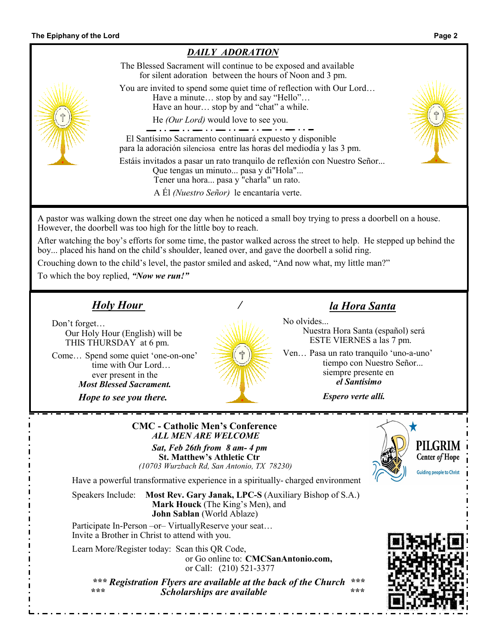

or Call: (210) 521-3377

 *\*\*\* Registration Flyers are available at the back of the Church \*\*\* \*\*\* Scholarships are available \*\*\**

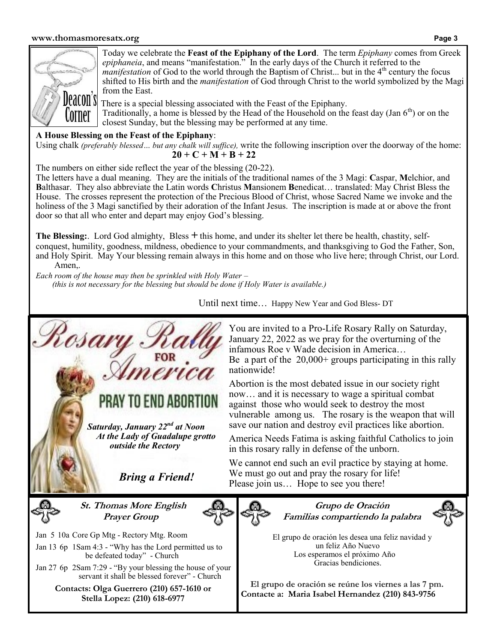## **www.thomasmoresatx.org Page 3**



Today we celebrate the **Feast of the Epiphany of the Lord**. The term *Epiphany* comes from Greek *epiphaneia*, and means "manifestation." In the early days of the Church it referred to the *manifestation* of God to the world through the Baptism of Christ... but in the 4<sup>th</sup> century the focus shifted to His birth and the *manifestation* of God through Christ to the world symbolized by the Magi from the East.

There is a special blessing associated with the Feast of the Epiphany. Traditionally, a home is blessed by the Head of the Household on the feast day (Jan  $6<sup>th</sup>$ ) or on the closest Sunday, but the blessing may be performed at any time.

## **A House Blessing on the Feast of the Epiphany**:

Using chalk *(preferably blessed… but any chalk will suffice),* write the following inscription over the doorway of the home:  $20 + C + M + B + 22$ 

The numbers on either side reflect the year of the blessing (20-22).

The letters have a dual meaning. They are the initials of the traditional names of the 3 Magi: **C**aspar, **M**elchior, and **B**althasar. They also abbreviate the Latin words **C**hristus **M**ansionem **B**enedicat… translated: May Christ Bless the House. The crosses represent the protection of the Precious Blood of Christ, whose Sacred Name we invoke and the holiness of the 3 Magi sanctified by their adoration of the Infant Jesus. The inscription is made at or above the front door so that all who enter and depart may enjoy God's blessing.

**The Blessing:**. Lord God almighty, Bless *+* this home, and under its shelter let there be health, chastity, selfconquest, humility, goodness, mildness, obedience to your commandments, and thanksgiving to God the Father, Son, and Holy Spirit. May Your blessing remain always in this home and on those who live here; through Christ, our Lord. Amen,.

*Each room of the house may then be sprinkled with Holy Water – (this is not necessary for the blessing but should be done if Holy Water is available.)*

Until next time… Happy New Year and God Bless- DT



You are invited to a Pro-Life Rosary Rally on Saturday, January 22, 2022 as we pray for the overturning of the infamous Roe v Wade decision in America… Be a part of the  $20,000+$  groups participating in this rally

Abortion is the most debated issue in our society right now… and it is necessary to wage a spiritual combat against those who would seek to destroy the most vulnerable among us. The rosary is the weapon that will save our nation and destroy evil practices like abortion.

America Needs Fatima is asking faithful Catholics to join in this rosary rally in defense of the unborn.

We cannot end such an evil practice by staying at home. We must go out and pray the rosary for life! Please join us... Hope to see you there!

> **Grupo de Oración Familias compartiendo la palabra**



 El grupo de oración les desea una feliz navidad y un feliz Año Nuevo Los esperamos el próximo Año Gracias bendiciones.

**El grupo de oración se reúne los viernes a las 7 pm. Contacte a: Maria Isabel Hernandez (210) 843-9756**